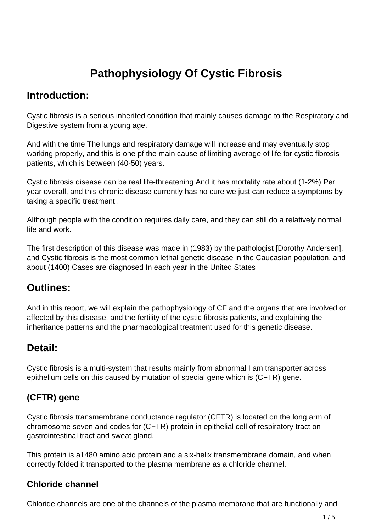# **Pathophysiology Of Cystic Fibrosis**

### **Introduction:**

Cystic fibrosis is a serious inherited condition that mainly causes damage to the Respiratory and Digestive system from a young age.

And with the time The lungs and respiratory damage will increase and may eventually stop working properly, and this is one pf the main cause of limiting average of life for cystic fibrosis patients, which is between (40-50) years.

Cystic fibrosis disease can be real life-threatening And it has mortality rate about (1-2%) Per year overall, and this chronic disease currently has no cure we just can reduce a symptoms by taking a specific treatment .

Although people with the condition requires daily care, and they can still do a relatively normal life and work.

The first description of this disease was made in (1983) by the pathologist [Dorothy Andersen], and Cystic fibrosis is the most common lethal genetic disease in the Caucasian population, and about (1400) Cases are diagnosed In each year in the United States

## **Outlines:**

And in this report, we will explain the pathophysiology of CF and the organs that are involved or affected by this disease, and the fertility of the cystic fibrosis patients, and explaining the inheritance patterns and the pharmacological treatment used for this genetic disease.

### **Detail:**

Cystic fibrosis is a multi-system that results mainly from abnormal I am transporter across epithelium cells on this caused by mutation of special gene which is (CFTR) gene.

### **(CFTR) gene**

Cystic fibrosis transmembrane conductance regulator (CFTR) is located on the long arm of chromosome seven and codes for (CFTR) protein in epithelial cell of respiratory tract on gastrointestinal tract and sweat gland.

This protein is a1480 amino acid protein and a six-helix transmembrane domain, and when correctly folded it transported to the plasma membrane as a chloride channel.

### **Chloride channel**

Chloride channels are one of the channels of the plasma membrane that are functionally and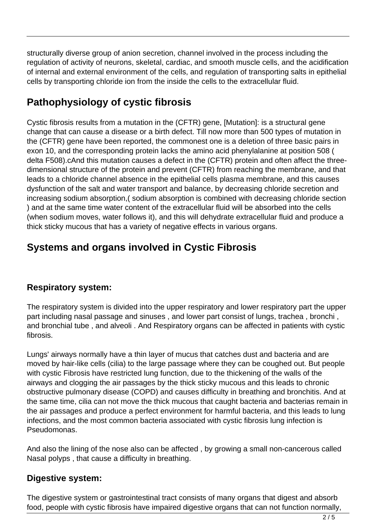structurally diverse group of anion secretion, channel involved in the process including the regulation of activity of neurons, skeletal, cardiac, and smooth muscle cells, and the acidification of internal and external environment of the cells, and regulation of transporting salts in epithelial cells by transporting chloride ion from the inside the cells to the extracellular fluid.

## **Pathophysiology of cystic fibrosis**

Cystic fibrosis results from a mutation in the (CFTR) gene, [Mutation]: is a structural gene change that can cause a disease or a birth defect. Till now more than 500 types of mutation in the (CFTR) gene have been reported, the commonest one is a deletion of three basic pairs in exon 10, and the corresponding protein lacks the amino acid phenylalanine at position 508 ( delta F508).cAnd this mutation causes a defect in the (CFTR) protein and often affect the threedimensional structure of the protein and prevent (CFTR) from reaching the membrane, and that leads to a chloride channel absence in the epithelial cells plasma membrane, and this causes dysfunction of the salt and water transport and balance, by decreasing chloride secretion and increasing sodium absorption,( sodium absorption is combined with decreasing chloride section ) and at the same time water content of the extracellular fluid will be absorbed into the cells (when sodium moves, water follows it), and this will dehydrate extracellular fluid and produce a thick sticky mucous that has a variety of negative effects in various organs.

## **Systems and organs involved in Cystic Fibrosis**

### **Respiratory system:**

The respiratory system is divided into the upper respiratory and lower respiratory part the upper part including nasal passage and sinuses , and lower part consist of lungs, trachea , bronchi , and bronchial tube , and alveoli . And Respiratory organs can be affected in patients with cystic fibrosis.

Lungs' airways normally have a thin layer of mucus that catches dust and bacteria and are moved by hair-like cells (cilia) to the large passage where they can be coughed out. But people with cystic Fibrosis have restricted lung function, due to the thickening of the walls of the airways and clogging the air passages by the thick sticky mucous and this leads to chronic obstructive pulmonary disease (COPD) and causes difficulty in breathing and bronchitis. And at the same time, cilia can not move the thick mucous that caught bacteria and bacterias remain in the air passages and produce a perfect environment for harmful bacteria, and this leads to lung infections, and the most common bacteria associated with cystic fibrosis lung infection is Pseudomonas.

And also the lining of the nose also can be affected , by growing a small non-cancerous called Nasal polyps , that cause a difficulty in breathing.

### **Digestive system:**

The digestive system or gastrointestinal tract consists of many organs that digest and absorb food, people with cystic fibrosis have impaired digestive organs that can not function normally,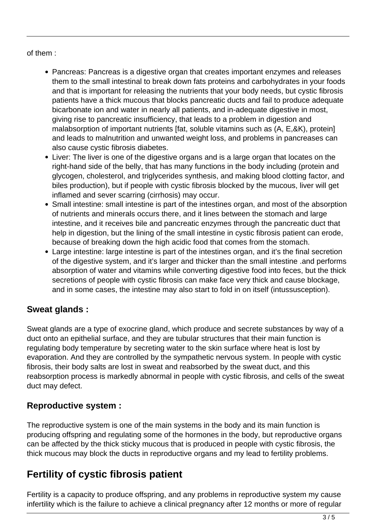#### of them :

- Pancreas: Pancreas is a digestive organ that creates important enzymes and releases them to the small intestinal to break down fats proteins and carbohydrates in your foods and that is important for releasing the nutrients that your body needs, but cystic fibrosis patients have a thick mucous that blocks pancreatic ducts and fail to produce adequate bicarbonate ion and water in nearly all patients, and in-adequate digestive in most, giving rise to pancreatic insufficiency, that leads to a problem in digestion and malabsorption of important nutrients [fat, soluble vitamins such as (A, E,&K), protein] and leads to malnutrition and unwanted weight loss, and problems in pancreases can also cause cystic fibrosis diabetes.
- Liver: The liver is one of the digestive organs and is a large organ that locates on the right-hand side of the belly, that has many functions in the body including (protein and glycogen, cholesterol, and triglycerides synthesis, and making blood clotting factor, and biles production), but if people with cystic fibrosis blocked by the mucous, liver will get inflamed and sever scarring (cirrhosis) may occur.
- Small intestine: small intestine is part of the intestines organ, and most of the absorption of nutrients and minerals occurs there, and it lines between the stomach and large intestine, and it receives bile and pancreatic enzymes through the pancreatic duct that help in digestion, but the lining of the small intestine in cystic fibrosis patient can erode, because of breaking down the high acidic food that comes from the stomach.
- Large intestine: large intestine is part of the intestines organ, and it's the final secretion of the digestive system, and it's larger and thicker than the small intestine .and performs absorption of water and vitamins while converting digestive food into feces, but the thick secretions of people with cystic fibrosis can make face very thick and cause blockage, and in some cases, the intestine may also start to fold in on itself (intussusception).

### **Sweat glands :**

Sweat glands are a type of exocrine gland, which produce and secrete substances by way of a duct onto an epithelial surface, and they are tubular structures that their main function is regulating body temperature by secreting water to the skin surface where heat is lost by evaporation. And they are controlled by the sympathetic nervous system. In people with cystic fibrosis, their body salts are lost in sweat and reabsorbed by the sweat duct, and this reabsorption process is markedly abnormal in people with cystic fibrosis, and cells of the sweat duct may defect.

### **Reproductive system :**

The reproductive system is one of the main systems in the body and its main function is producing offspring and regulating some of the hormones in the body, but reproductive organs can be affected by the thick sticky mucous that is produced in people with cystic fibrosis, the thick mucous may block the ducts in reproductive organs and my lead to fertility problems.

### **Fertility of cystic fibrosis patient**

Fertility is a capacity to produce offspring, and any problems in reproductive system my cause infertility which is the failure to achieve a clinical pregnancy after 12 months or more of regular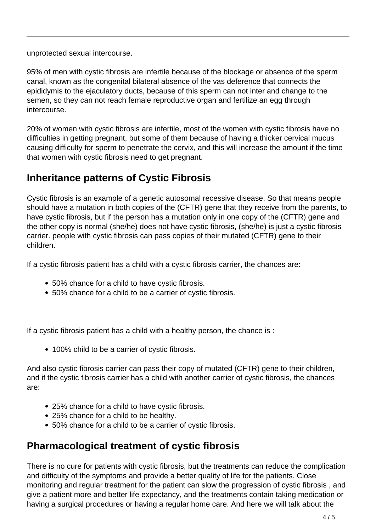unprotected sexual intercourse.

95% of men with cystic fibrosis are infertile because of the blockage or absence of the sperm canal, known as the congenital bilateral absence of the vas deference that connects the epididymis to the ejaculatory ducts, because of this sperm can not inter and change to the semen, so they can not reach female reproductive organ and fertilize an egg through intercourse.

20% of women with cystic fibrosis are infertile, most of the women with cystic fibrosis have no difficulties in getting pregnant, but some of them because of having a thicker cervical mucus causing difficulty for sperm to penetrate the cervix, and this will increase the amount if the time that women with cystic fibrosis need to get pregnant.

## **Inheritance patterns of Cystic Fibrosis**

Cystic fibrosis is an example of a genetic autosomal recessive disease. So that means people should have a mutation in both copies of the (CFTR) gene that they receive from the parents, to have cystic fibrosis, but if the person has a mutation only in one copy of the (CFTR) gene and the other copy is normal (she/he) does not have cystic fibrosis, (she/he) is just a cystic fibrosis carrier. people with cystic fibrosis can pass copies of their mutated (CFTR) gene to their children.

If a cystic fibrosis patient has a child with a cystic fibrosis carrier, the chances are:

- 50% chance for a child to have cystic fibrosis.
- 50% chance for a child to be a carrier of cystic fibrosis.

If a cystic fibrosis patient has a child with a healthy person, the chance is :

• 100% child to be a carrier of cystic fibrosis.

And also cystic fibrosis carrier can pass their copy of mutated (CFTR) gene to their children, and if the cystic fibrosis carrier has a child with another carrier of cystic fibrosis, the chances are:

- 25% chance for a child to have cystic fibrosis.
- 25% chance for a child to be healthy.
- 50% chance for a child to be a carrier of cystic fibrosis.

## **Pharmacological treatment of cystic fibrosis**

There is no cure for patients with cystic fibrosis, but the treatments can reduce the complication and difficulty of the symptoms and provide a better quality of life for the patients. Close monitoring and regular treatment for the patient can slow the progression of cystic fibrosis , and give a patient more and better life expectancy, and the treatments contain taking medication or having a surgical procedures or having a regular home care. And here we will talk about the